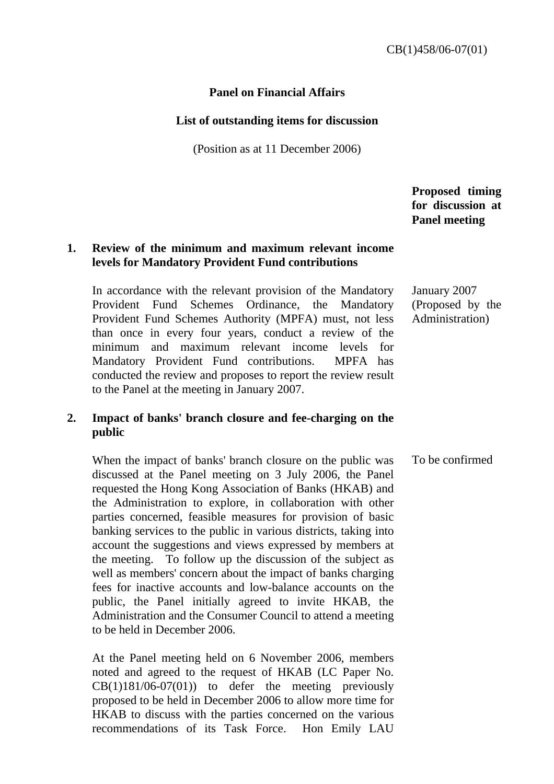#### **Panel on Financial Affairs**

#### **List of outstanding items for discussion**

(Position as at 11 December 2006)

 **Proposed timing for discussion at Panel meeting** 

#### **1. Review of the minimum and maximum relevant income levels for Mandatory Provident Fund contributions**

In accordance with the relevant provision of the Mandatory Provident Fund Schemes Ordinance, the Mandatory Provident Fund Schemes Authority (MPFA) must, not less than once in every four years, conduct a review of the minimum and maximum relevant income levels for Mandatory Provident Fund contributions. MPFA has conducted the review and proposes to report the review result to the Panel at the meeting in January 2007.

# **2. Impact of banks' branch closure and fee-charging on the public**

 When the impact of banks' branch closure on the public was discussed at the Panel meeting on 3 July 2006, the Panel requested the Hong Kong Association of Banks (HKAB) and the Administration to explore, in collaboration with other parties concerned, feasible measures for provision of basic banking services to the public in various districts, taking into account the suggestions and views expressed by members at the meeting. To follow up the discussion of the subject as well as members' concern about the impact of banks charging fees for inactive accounts and low-balance accounts on the public, the Panel initially agreed to invite HKAB, the Administration and the Consumer Council to attend a meeting to be held in December 2006. To be confirmed

 At the Panel meeting held on 6 November 2006, members noted and agreed to the request of HKAB (LC Paper No.  $CB(1)181/06-07(01)$  to defer the meeting previously proposed to be held in December 2006 to allow more time for HKAB to discuss with the parties concerned on the various recommendations of its Task Force. Hon Emily LAU

# January 2007 (Proposed by the Administration)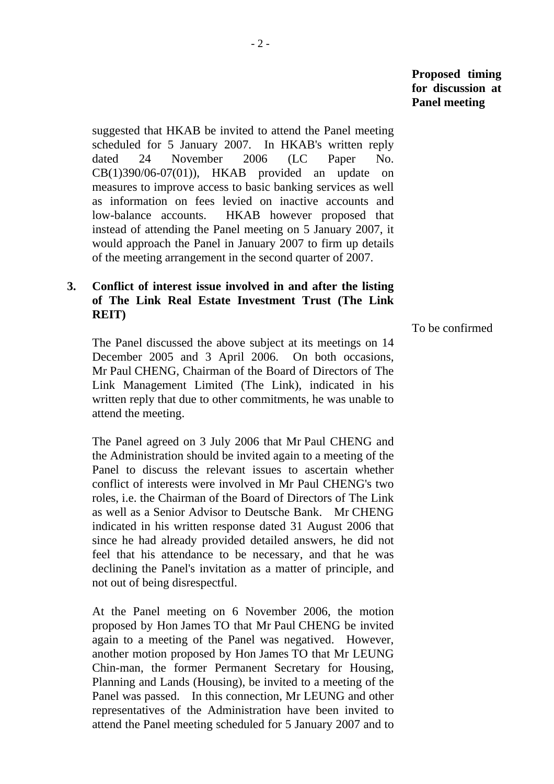suggested that HKAB be invited to attend the Panel meeting scheduled for 5 January 2007. In HKAB's written reply dated 24 November 2006 (LC Paper No. CB(1)390/06-07(01)), HKAB provided an update on measures to improve access to basic banking services as well as information on fees levied on inactive accounts and low-balance accounts. HKAB however proposed that instead of attending the Panel meeting on 5 January 2007, it would approach the Panel in January 2007 to firm up details of the meeting arrangement in the second quarter of 2007.

# **3. Conflict of interest issue involved in and after the listing of The Link Real Estate Investment Trust (The Link REIT)**

 The Panel discussed the above subject at its meetings on 14 December 2005 and 3 April 2006. On both occasions, Mr Paul CHENG, Chairman of the Board of Directors of The Link Management Limited (The Link), indicated in his written reply that due to other commitments, he was unable to attend the meeting.

 The Panel agreed on 3 July 2006 that Mr Paul CHENG and the Administration should be invited again to a meeting of the Panel to discuss the relevant issues to ascertain whether conflict of interests were involved in Mr Paul CHENG's two roles, i.e. the Chairman of the Board of Directors of The Link as well as a Senior Advisor to Deutsche Bank. Mr CHENG indicated in his written response dated 31 August 2006 that since he had already provided detailed answers, he did not feel that his attendance to be necessary, and that he was declining the Panel's invitation as a matter of principle, and not out of being disrespectful.

 At the Panel meeting on 6 November 2006, the motion proposed by Hon James TO that Mr Paul CHENG be invited again to a meeting of the Panel was negatived. However, another motion proposed by Hon James TO that Mr LEUNG Chin-man, the former Permanent Secretary for Housing, Planning and Lands (Housing), be invited to a meeting of the Panel was passed. In this connection, Mr LEUNG and other representatives of the Administration have been invited to attend the Panel meeting scheduled for 5 January 2007 and to

To be confirmed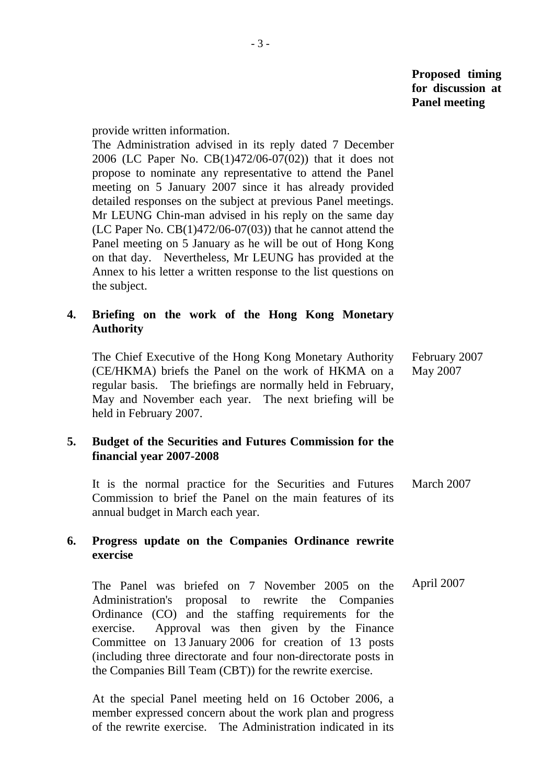provide written information.

 The Administration advised in its reply dated 7 December 2006 (LC Paper No. CB(1)472/06-07(02)) that it does not propose to nominate any representative to attend the Panel meeting on 5 January 2007 since it has already provided detailed responses on the subject at previous Panel meetings. Mr LEUNG Chin-man advised in his reply on the same day  $(LC$  Paper No.  $CB(1)472/06-07(03))$  that he cannot attend the Panel meeting on 5 January as he will be out of Hong Kong on that day. Nevertheless, Mr LEUNG has provided at the Annex to his letter a written response to the list questions on the subject.

# **4. Briefing on the work of the Hong Kong Monetary Authority**

 The Chief Executive of the Hong Kong Monetary Authority (CE/HKMA) briefs the Panel on the work of HKMA on a regular basis. The briefings are normally held in February, May and November each year. The next briefing will be held in February 2007. February 2007 May 2007

# **5. Budget of the Securities and Futures Commission for the financial year 2007-2008**

 It is the normal practice for the Securities and Futures Commission to brief the Panel on the main features of its annual budget in March each year. March 2007

# **6. Progress update on the Companies Ordinance rewrite exercise**

 The Panel was briefed on 7 November 2005 on the Administration's proposal to rewrite the Companies Ordinance (CO) and the staffing requirements for the exercise. Approval was then given by the Finance Committee on 13 January 2006 for creation of 13 posts (including three directorate and four non-directorate posts in the Companies Bill Team (CBT)) for the rewrite exercise. April 2007

 At the special Panel meeting held on 16 October 2006, a member expressed concern about the work plan and progress of the rewrite exercise. The Administration indicated in its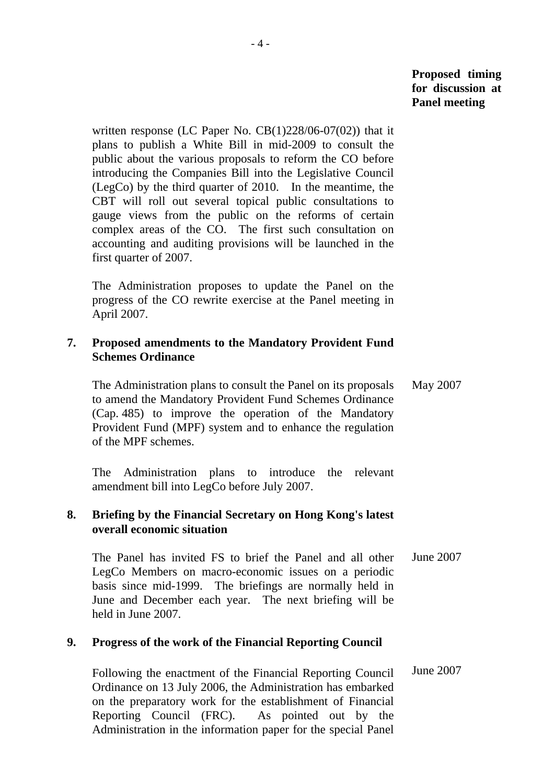written response (LC Paper No. CB(1)228/06-07(02)) that it plans to publish a White Bill in mid-2009 to consult the public about the various proposals to reform the CO before introducing the Companies Bill into the Legislative Council (LegCo) by the third quarter of 2010. In the meantime, the CBT will roll out several topical public consultations to gauge views from the public on the reforms of certain complex areas of the CO. The first such consultation on accounting and auditing provisions will be launched in the first quarter of 2007.

 The Administration proposes to update the Panel on the progress of the CO rewrite exercise at the Panel meeting in April 2007.

# **7. Proposed amendments to the Mandatory Provident Fund Schemes Ordinance**

 The Administration plans to consult the Panel on its proposals to amend the Mandatory Provident Fund Schemes Ordinance (Cap. 485) to improve the operation of the Mandatory Provident Fund (MPF) system and to enhance the regulation of the MPF schemes. May 2007

 The Administration plans to introduce the relevant amendment bill into LegCo before July 2007.

# **8. Briefing by the Financial Secretary on Hong Kong's latest overall economic situation**

 The Panel has invited FS to brief the Panel and all other LegCo Members on macro-economic issues on a periodic basis since mid-1999. The briefings are normally held in June and December each year. The next briefing will be held in June 2007. June 2007

# **9. Progress of the work of the Financial Reporting Council**

 Following the enactment of the Financial Reporting Council Ordinance on 13 July 2006, the Administration has embarked on the preparatory work for the establishment of Financial Reporting Council (FRC). As pointed out by the Administration in the information paper for the special Panel June 2007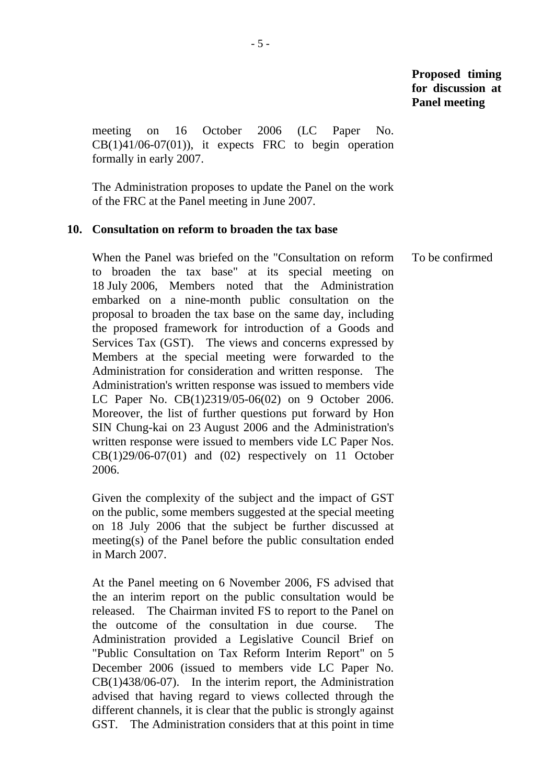meeting on 16 October 2006 (LC Paper No.  $CB(1)41/06-07(01)$ , it expects FRC to begin operation formally in early 2007.

 The Administration proposes to update the Panel on the work of the FRC at the Panel meeting in June 2007.

#### **10. Consultation on reform to broaden the tax base**

 When the Panel was briefed on the "Consultation on reform to broaden the tax base" at its special meeting on 18 July 2006, Members noted that the Administration embarked on a nine-month public consultation on the proposal to broaden the tax base on the same day, including the proposed framework for introduction of a Goods and Services Tax (GST). The views and concerns expressed by Members at the special meeting were forwarded to the Administration for consideration and written response. The Administration's written response was issued to members vide LC Paper No. CB(1)2319/05-06(02) on 9 October 2006. Moreover, the list of further questions put forward by Hon SIN Chung-kai on 23 August 2006 and the Administration's written response were issued to members vide LC Paper Nos.  $CB(1)29/06-07(01)$  and  $(02)$  respectively on 11 October 2006.

 Given the complexity of the subject and the impact of GST on the public, some members suggested at the special meeting on 18 July 2006 that the subject be further discussed at meeting(s) of the Panel before the public consultation ended in March 2007.

 At the Panel meeting on 6 November 2006, FS advised that the an interim report on the public consultation would be released. The Chairman invited FS to report to the Panel on the outcome of the consultation in due course. The Administration provided a Legislative Council Brief on "Public Consultation on Tax Reform Interim Report" on 5 December 2006 (issued to members vide LC Paper No. CB(1)438/06-07). In the interim report, the Administration advised that having regard to views collected through the different channels, it is clear that the public is strongly against GST. The Administration considers that at this point in time To be confirmed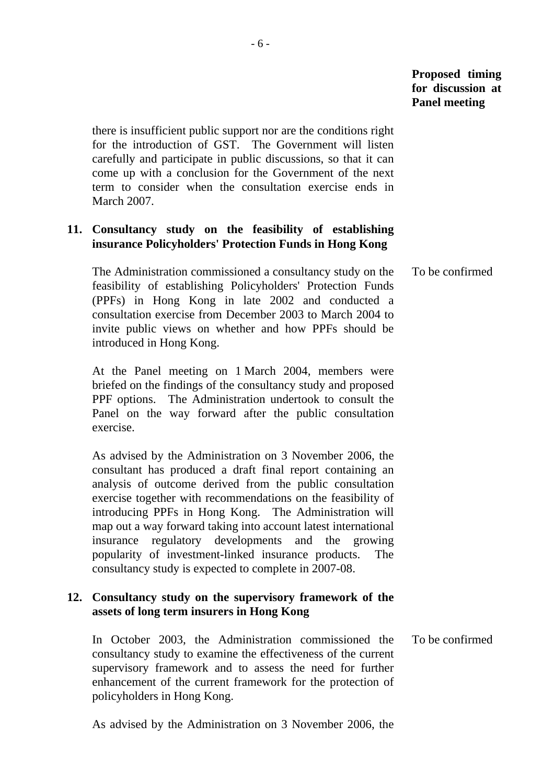there is insufficient public support nor are the conditions right for the introduction of GST. The Government will listen carefully and participate in public discussions, so that it can come up with a conclusion for the Government of the next term to consider when the consultation exercise ends in March 2007.

# **11. Consultancy study on the feasibility of establishing insurance Policyholders' Protection Funds in Hong Kong**

 The Administration commissioned a consultancy study on the feasibility of establishing Policyholders' Protection Funds (PPFs) in Hong Kong in late 2002 and conducted a consultation exercise from December 2003 to March 2004 to invite public views on whether and how PPFs should be introduced in Hong Kong. To be confirmed

 At the Panel meeting on 1 March 2004, members were briefed on the findings of the consultancy study and proposed PPF options. The Administration undertook to consult the Panel on the way forward after the public consultation exercise.

 As advised by the Administration on 3 November 2006, the consultant has produced a draft final report containing an analysis of outcome derived from the public consultation exercise together with recommendations on the feasibility of introducing PPFs in Hong Kong. The Administration will map out a way forward taking into account latest international insurance regulatory developments and the growing popularity of investment-linked insurance products. The consultancy study is expected to complete in 2007-08.

# **12. Consultancy study on the supervisory framework of the assets of long term insurers in Hong Kong**

 In October 2003, the Administration commissioned the consultancy study to examine the effectiveness of the current supervisory framework and to assess the need for further enhancement of the current framework for the protection of policyholders in Hong Kong.

To be confirmed

As advised by the Administration on 3 November 2006, the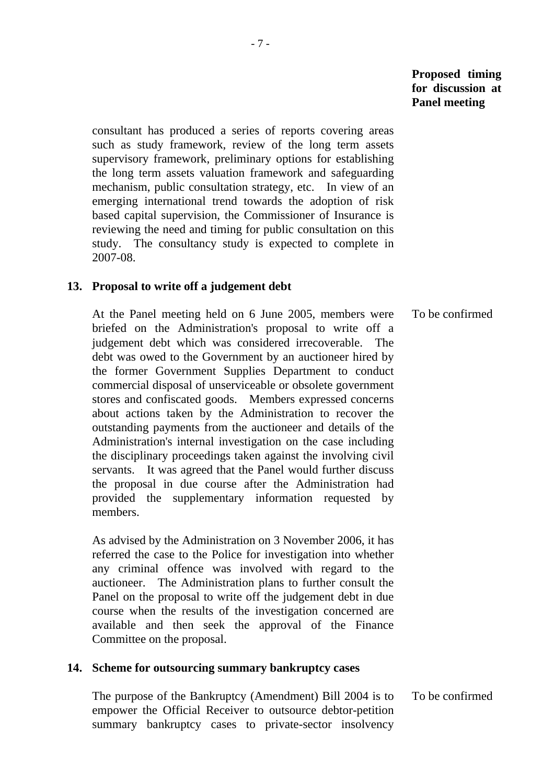consultant has produced a series of reports covering areas such as study framework, review of the long term assets supervisory framework, preliminary options for establishing the long term assets valuation framework and safeguarding mechanism, public consultation strategy, etc. In view of an emerging international trend towards the adoption of risk based capital supervision, the Commissioner of Insurance is reviewing the need and timing for public consultation on this study. The consultancy study is expected to complete in 2007-08.

#### **13. Proposal to write off a judgement debt**

 At the Panel meeting held on 6 June 2005, members were briefed on the Administration's proposal to write off a judgement debt which was considered irrecoverable. The debt was owed to the Government by an auctioneer hired by the former Government Supplies Department to conduct commercial disposal of unserviceable or obsolete government stores and confiscated goods. Members expressed concerns about actions taken by the Administration to recover the outstanding payments from the auctioneer and details of the Administration's internal investigation on the case including the disciplinary proceedings taken against the involving civil servants. It was agreed that the Panel would further discuss the proposal in due course after the Administration had provided the supplementary information requested by members. To be confirmed

 As advised by the Administration on 3 November 2006, it has referred the case to the Police for investigation into whether any criminal offence was involved with regard to the auctioneer. The Administration plans to further consult the Panel on the proposal to write off the judgement debt in due course when the results of the investigation concerned are available and then seek the approval of the Finance Committee on the proposal.

#### **14. Scheme for outsourcing summary bankruptcy cases**

 The purpose of the Bankruptcy (Amendment) Bill 2004 is to empower the Official Receiver to outsource debtor-petition summary bankruptcy cases to private-sector insolvency To be confirmed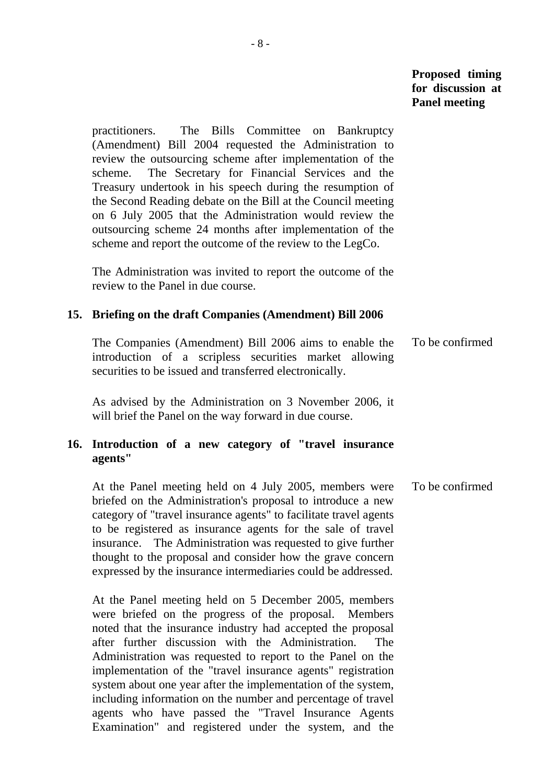practitioners. The Bills Committee on Bankruptcy (Amendment) Bill 2004 requested the Administration to review the outsourcing scheme after implementation of the scheme. The Secretary for Financial Services and the Treasury undertook in his speech during the resumption of the Second Reading debate on the Bill at the Council meeting on 6 July 2005 that the Administration would review the outsourcing scheme 24 months after implementation of the scheme and report the outcome of the review to the LegCo.

 The Administration was invited to report the outcome of the review to the Panel in due course.

#### **15. Briefing on the draft Companies (Amendment) Bill 2006**

 The Companies (Amendment) Bill 2006 aims to enable the introduction of a scripless securities market allowing securities to be issued and transferred electronically. To be confirmed

 As advised by the Administration on 3 November 2006, it will brief the Panel on the way forward in due course.

#### **16. Introduction of a new category of "travel insurance agents"**

 At the Panel meeting held on 4 July 2005, members were briefed on the Administration's proposal to introduce a new category of "travel insurance agents" to facilitate travel agents to be registered as insurance agents for the sale of travel insurance. The Administration was requested to give further thought to the proposal and consider how the grave concern expressed by the insurance intermediaries could be addressed. To be confirmed

 At the Panel meeting held on 5 December 2005, members were briefed on the progress of the proposal. Members noted that the insurance industry had accepted the proposal after further discussion with the Administration. The Administration was requested to report to the Panel on the implementation of the "travel insurance agents" registration system about one year after the implementation of the system, including information on the number and percentage of travel agents who have passed the "Travel Insurance Agents Examination" and registered under the system, and the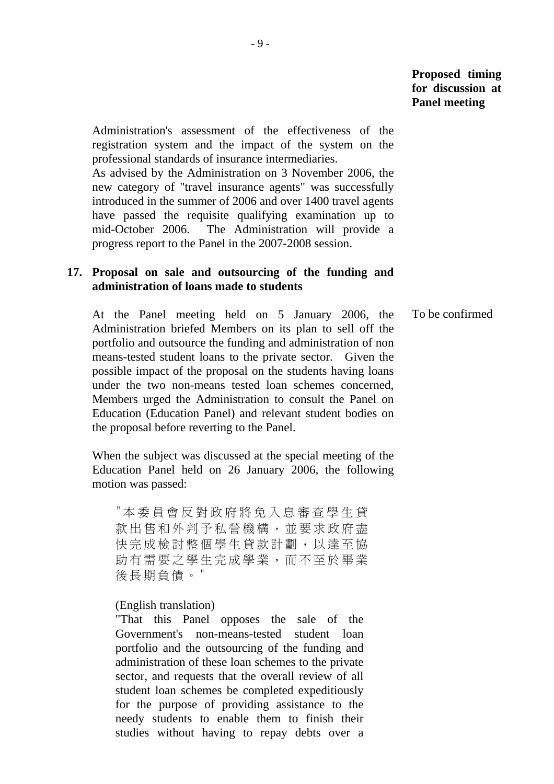Administration's assessment of the effectiveness of the registration system and the impact of the system on the professional standards of insurance intermediaries.

 As advised by the Administration on 3 November 2006, the new category of "travel insurance agents" was successfully introduced in the summer of 2006 and over 1400 travel agents have passed the requisite qualifying examination up to mid-October 2006. The Administration will provide a progress report to the Panel in the 2007-2008 session.

# **17. Proposal on sale and outsourcing of the funding and administration of loans made to students**

 At the Panel meeting held on 5 January 2006, the Administration briefed Members on its plan to sell off the portfolio and outsource the funding and administration of non means-tested student loans to the private sector. Given the possible impact of the proposal on the students having loans under the two non-means tested loan schemes concerned, Members urged the Administration to consult the Panel on Education (Education Panel) and relevant student bodies on the proposal before reverting to the Panel. To be confirmed

 When the subject was discussed at the special meeting of the Education Panel held on 26 January 2006, the following motion was passed:

"本委員會反對政府將免入息審查學生貸 款出售和外判予私營機構,並要求政府盡 快完成檢討整個學生貸款計劃,以達至協 助有需要之學生完成學業,而不至於畢業 後長期負債。"

(English translation)

"That this Panel opposes the sale of the Government's non-means-tested student loan portfolio and the outsourcing of the funding and administration of these loan schemes to the private sector, and requests that the overall review of all student loan schemes be completed expeditiously for the purpose of providing assistance to the needy students to enable them to finish their studies without having to repay debts over a